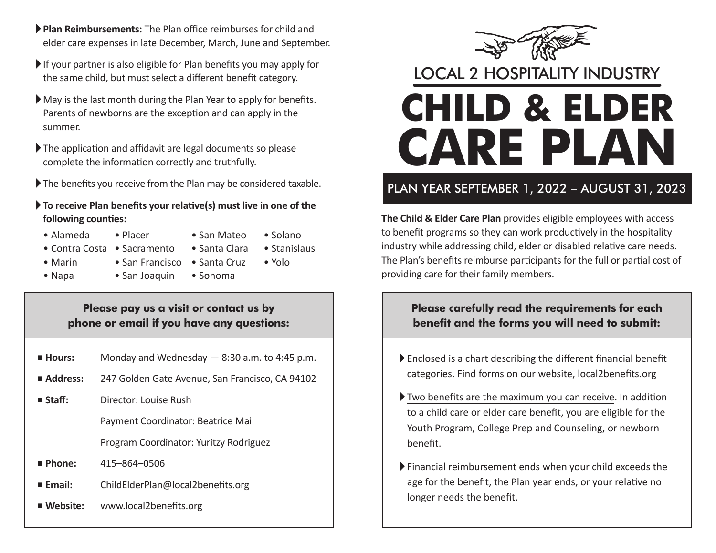- A **Plan Reimbursements:** The Plan office reimburses for child and elder care expenses in late December, March, June and September.
- $\blacktriangleright$  If your partner is also eligible for Plan benefits you may apply for the same child, but must select a different benefit category.
- $\blacktriangleright$  May is the last month during the Plan Year to apply for benefits. Parents of newborns are the exception and can apply in the summer.
- $\blacktriangleright$  The application and affidavit are legal documents so please complete the information correctly and truthfully.
- $\blacktriangleright$  The benefits you receive from the Plan may be considered taxable.
- A **To receive Plan benefits your relative(s) must live in one of the following counties:**
	-
	- Alameda Placer San Mateo Solano
	- Contra Costa Sacramento Santa Clara Stanislaus
- 

- 
- Marin San Francisco Santa Cruz Yolo
- 
- Napa San Joaquin • Sonoma

#### **Please pay us a visit or contact us by phone or email if you have any questions:**

- **Hours:** Monday and Wednesday 8:30 a.m. to 4:45 p.m.
- Address: 247 Golden Gate Avenue, San Francisco, CA 94102
- **Staff:** Director: Louise Rush
	- Payment Coordinator: Beatrice Mai

Program Coordinator: Yuritzy Rodriguez

- J **Phone:** 415–864–0506
- **Email:** ChildElderPlan@local2benefits.org
- Website: www.local2benefits.org



## LOCAL 2 HOSPITALITY INDUSTRY

# **CHILD & ELDER CARE PLAN**

## PLAN YEAR SEPTEMBER 1, 2022 – AUGUST 31, 2023

**The Child & Elder Care Plan** provides eligible employees with access to benefit programs so they can work productively in the hospitality industry while addressing child, elder or disabled relative care needs. The Plan's benefits reimburse participants for the full or partial cost of providing care for their family members.

### **Please carefully read the requirements for each benefit and the forms you will need to submit:**

- A Enclosed is a chart describing the different financial benefit categories. Find forms on our website, local2benefits.org
- A Two benefits are the maximum you can receive. In addition to a child care or elder care benefit, you are eligible for the Youth Program, College Prep and Counseling, or newborn benefit.
- A Financial reimbursement ends when your child exceeds the age for the benefit, the Plan year ends, or your relative no longer needs the benefit.